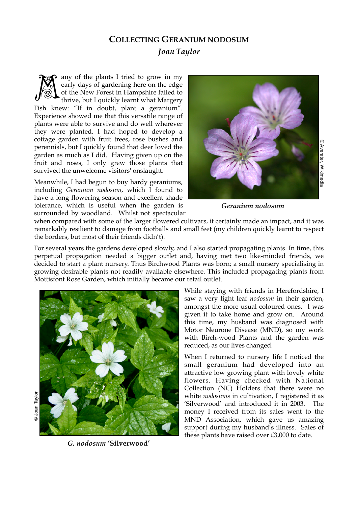## **COLLECTING GERANIUM NODOSUM** *Joan Taylor*

any of the plants I tried to grow in my early days of gardening here on the edge of the New Forest in Hampshire failed to thrive, but I quickly learnt what Margery Fish knew: "If in doubt, plant a geranium". Experience showed me that this versatile range of plants were able to survive and do well wherever they were planted. I had hoped to develop a cottage garden with fruit trees, rose bushes and perennials, but I quickly found that deer loved the garden as much as I did. Having given up on the fruit and roses, I only grew those plants that survived the unwelcome visitors' onslaught. M

Meanwhile, I had begun to buy hardy geraniums, including *Geranium nodosum*, which I found to have a long flowering season and excellent shade tolerance, which is useful when the garden is surrounded by woodland. Whilst not spectacular



*Geranium nodosum*

when compared with some of the larger flowered cultivars, it certainly made an impact, and it was remarkably resilient to damage from footballs and small feet (my children quickly learnt to respect the borders, but most of their friends didn't).

For several years the gardens developed slowly, and I also started propagating plants. In time, this perpetual propagation needed a bigger outlet and, having met two like-minded friends, we decided to start a plant nursery. Thus Birchwood Plants was born; a small nursery specialising in growing desirable plants not readily available elsewhere. This included propagating plants from Mottisfont Rose Garden, which initially became our retail outlet.



*G. nodosum* **'Silverwood'**

While staying with friends in Herefordshire, I saw a very light leaf *nodosum* in their garden, amongst the more usual coloured ones. I was given it to take home and grow on. Around this time, my husband was diagnosed with Motor Neurone Disease (MND), so my work with Birch-wood Plants and the garden was reduced, as our lives changed.

When I returned to nursery life I noticed the small geranium had developed into an attractive low growing plant with lovely white flowers. Having checked with National Collection (NC) Holders that there were no white *nodosums* in cultivation, I registered it as 'Silverwood' and introduced it in 2003. The money I received from its sales went to the MND Association, which gave us amazing support during my husband's illness. Sales of these plants have raised over £3,000 to date.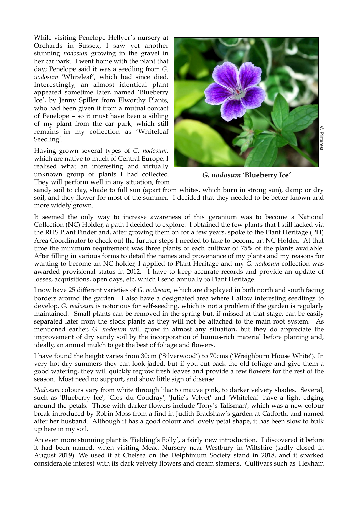While visiting Penelope Hellyer's nursery at Orchards in Sussex, I saw yet another stunning *nodosum* growing in the gravel in her car park. I went home with the plant that day; Penelope said it was a seedling from *G. nodosum* 'Whiteleaf', which had since died. Interestingly, an almost identical plant appeared sometime later, named 'Blueberry Ice', by Jenny Spiller from Elworthy Plants, who had been given it from a mutual contact of Penelope – so it must have been a sibling of my plant from the car park, which still remains in my collection as 'Whiteleaf Seedling'.

Having grown several types of *G. nodosum*, which are native to much of Central Europe, I realised what an interesting and virtually unknown group of plants I had collected. They will perform well in any situation, from



*G. nodosum* **'Blueberry Ice'**

sandy soil to clay, shade to full sun (apart from whites, which burn in strong sun), damp or dry soil, and they flower for most of the summer. I decided that they needed to be better known and more widely grown.

It seemed the only way to increase awareness of this geranium was to become a National Collection (NC) Holder, a path I decided to explore. I obtained the few plants that I still lacked via the RHS Plant Finder and, after growing them on for a few years, spoke to the Plant Heritage (PH) Area Coordinator to check out the further steps I needed to take to become an NC Holder. At that time the minimum requirement was three plants of each cultivar of 75% of the plants available. After filling in various forms to detail the names and provenance of my plants and my reasons for wanting to become an NC holder, I applied to Plant Heritage and my *G. nodosum* collection was awarded provisional status in 2012. I have to keep accurate records and provide an update of losses, acquisitions, open days, etc, which I send annually to Plant Heritage. considerable in the considerable interest white<br>considerable interest with its dark velvety flowers with its dark velvety flowers with its dark velvety flowers with its dark velvety flowers with its dark velvety flowers an

I now have 25 different varieties of *G. nodosum*, which are displayed in both north and south facing borders around the garden. I also have a designated area where I allow interesting seedlings to develop. *G. nodosum* is notorious for self-seeding, which is not a problem if the garden is regularly maintained. Small plants can be removed in the spring but, if missed at that stage, can be easily separated later from the stock plants as they will not be attached to the main root system. As mentioned earlier, *G. nodosum* will grow in almost any situation, but they do appreciate the improvement of dry sandy soil by the incorporation of humus-rich material before planting and, ideally, an annual mulch to get the best of foliage and flowers.

I have found the height varies from 30cm ('Silverwood') to 70cms ('Wreighburn House White'). In very hot dry summers they can look jaded, but if you cut back the old foliage and give them a good watering, they will quickly regrow fresh leaves and provide a few flowers for the rest of the season. Most need no support, and show little sign of disease.

*Nodosum* colours vary from white through lilac to mauve pink, to darker velvety shades. Several, such as 'Blueberry Ice', 'Clos du Coudray', 'Julie's Velvet' and 'Whiteleaf' have a light edging around the petals. Those with darker flowers include 'Tony's Talisman', which was a new colour break introduced by Robin Moss from a find in Judith Bradshaw's garden at Catforth, and named after her husband. Although it has a good colour and lovely petal shape, it has been slow to bulk up here in my soil.

An even more stunning plant is 'Fielding's Folly', a fairly new introduction. I discovered it before it had been named, when visiting Mead Nursery near Westbury in Wiltshire (sadly closed in August 2019). We used it at Chelsea on the Delphinium Society stand in 2018, and it sparked